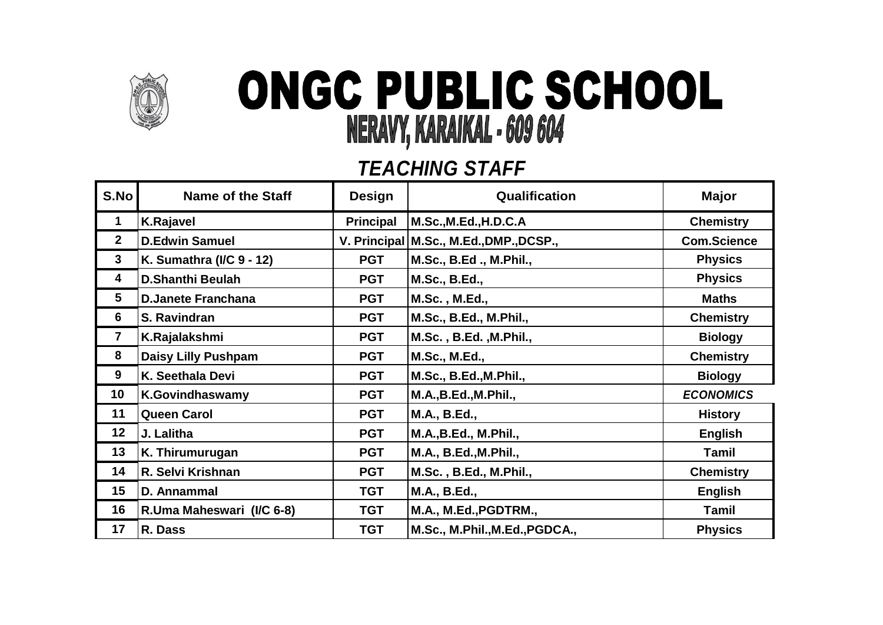

## ONGC PUBLIC SCHOOL NERAVY, KARAIKAL - 609 604

## *TEACHING STAFF*

| S.No         | <b>Name of the Staff</b>   | <b>Design</b>    | Qualification                             | <b>Major</b>       |
|--------------|----------------------------|------------------|-------------------------------------------|--------------------|
| 1            | <b>K.Rajavel</b>           | <b>Principal</b> | M.Sc.,M.Ed.,H.D.C.A                       | <b>Chemistry</b>   |
| $\mathbf{2}$ | <b>D.Edwin Samuel</b>      |                  | V. Principal   M.Sc., M.Ed., DMP., DCSP., | <b>Com.Science</b> |
| $\mathbf{3}$ | K. Sumathra (I/C 9 - 12)   | <b>PGT</b>       | M.Sc., B.Ed., M.Phil.,                    | <b>Physics</b>     |
| 4            | <b>D.Shanthi Beulah</b>    | <b>PGT</b>       | M.Sc., B.Ed.,                             | <b>Physics</b>     |
| 5            | <b>D.Janete Franchana</b>  | <b>PGT</b>       | M.Sc., M.Ed.,                             | <b>Maths</b>       |
| 6            | S. Ravindran               | <b>PGT</b>       | M.Sc., B.Ed., M.Phil.,                    | <b>Chemistry</b>   |
| 7            | K.Rajalakshmi              | <b>PGT</b>       | M.Sc., B.Ed., M.Phil.,                    | <b>Biology</b>     |
| 8            | <b>Daisy Lilly Pushpam</b> | <b>PGT</b>       | <b>M.Sc., M.Ed.,</b>                      | <b>Chemistry</b>   |
| 9            | K. Seethala Devi           | <b>PGT</b>       | M.Sc., B.Ed., M.Phil.,                    | <b>Biology</b>     |
| 10           | <b>K.Govindhaswamy</b>     | <b>PGT</b>       | M.A., B.Ed., M.Phil.,                     | <b>ECONOMICS</b>   |
| 11           | <b>Queen Carol</b>         | <b>PGT</b>       | M.A., B.Ed.,                              | <b>History</b>     |
| 12           | J. Lalitha                 | <b>PGT</b>       | <b>M.A., B.Ed., M.Phil.,</b>              | <b>English</b>     |
| 13           | K. Thirumurugan            | <b>PGT</b>       | M.A., B.Ed., M.Phil.,                     | Tamil              |
| 14           | R. Selvi Krishnan          | <b>PGT</b>       | M.Sc., B.Ed., M.Phil.,                    | <b>Chemistry</b>   |
| 15           | D. Annammal                | <b>TGT</b>       | M.A., B.Ed.,                              | <b>English</b>     |
| 16           | R.Uma Maheswari (I/C 6-8)  | <b>TGT</b>       | M.A., M.Ed., PGDTRM.,                     | Tamil              |
| 17           | R. Dass                    | <b>TGT</b>       | M.Sc., M.Phil., M.Ed., PGDCA.,            | <b>Physics</b>     |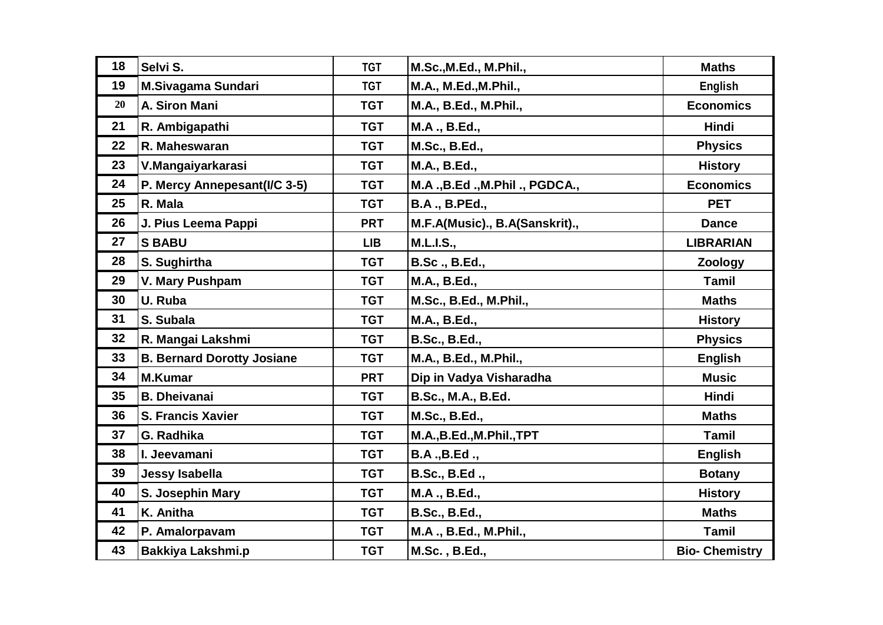| 18 | Selvi S.                          | <b>TGT</b> | M.Sc., M.Ed., M.Phil.,         | <b>Maths</b>          |
|----|-----------------------------------|------------|--------------------------------|-----------------------|
| 19 | <b>M.Sivagama Sundari</b>         | <b>TGT</b> | M.A., M.Ed., M.Phil.,          | <b>English</b>        |
| 20 | A. Siron Mani                     | <b>TGT</b> | M.A., B.Ed., M.Phil.,          | <b>Economics</b>      |
| 21 | R. Ambigapathi                    | <b>TGT</b> | M.A., B.Ed.,                   | Hindi                 |
| 22 | R. Maheswaran                     | <b>TGT</b> | M.Sc., B.Ed.,                  | <b>Physics</b>        |
| 23 | V.Mangaiyarkarasi                 | <b>TGT</b> | M.A., B.Ed.,                   | <b>History</b>        |
| 24 | P. Mercy Annepesant(I/C 3-5)      | <b>TGT</b> | M.A., B.Ed., M.Phil., PGDCA.,  | <b>Economics</b>      |
| 25 | R. Mala                           | <b>TGT</b> | <b>B.A., B.PEd.,</b>           | <b>PET</b>            |
| 26 | J. Pius Leema Pappi               | <b>PRT</b> | M.F.A(Music)., B.A(Sanskrit)., | <b>Dance</b>          |
| 27 | <b>S BABU</b>                     | <b>LIB</b> | <b>M.L.I.S.,</b>               | <b>LIBRARIAN</b>      |
| 28 | S. Sughirtha                      | <b>TGT</b> | <b>B.Sc., B.Ed.,</b>           | <b>Zoology</b>        |
| 29 | V. Mary Pushpam                   | <b>TGT</b> | M.A., B.Ed.,                   | Tamil                 |
| 30 | U. Ruba                           | <b>TGT</b> | M.Sc., B.Ed., M.Phil.,         | <b>Maths</b>          |
| 31 | S. Subala                         | <b>TGT</b> | M.A., B.Ed.,                   | <b>History</b>        |
| 32 | R. Mangai Lakshmi                 | <b>TGT</b> | <b>B.Sc., B.Ed.,</b>           | <b>Physics</b>        |
| 33 | <b>B. Bernard Dorotty Josiane</b> | <b>TGT</b> | M.A., B.Ed., M.Phil.,          | <b>English</b>        |
| 34 | <b>M.Kumar</b>                    | <b>PRT</b> | Dip in Vadya Visharadha        | <b>Music</b>          |
| 35 | <b>B. Dheivanai</b>               | <b>TGT</b> | B.Sc., M.A., B.Ed.             | <b>Hindi</b>          |
| 36 | <b>S. Francis Xavier</b>          | <b>TGT</b> | M.Sc., B.Ed.,                  | <b>Maths</b>          |
| 37 | G. Radhika                        | <b>TGT</b> | M.A., B.Ed., M.Phil., TPT      | <b>Tamil</b>          |
| 38 | I. Jeevamani                      | <b>TGT</b> | B.A., B.Ed.,                   | <b>English</b>        |
| 39 | <b>Jessy Isabella</b>             | <b>TGT</b> | B.Sc., B.Ed.,                  | <b>Botany</b>         |
| 40 | S. Josephin Mary                  | <b>TGT</b> | M.A., B.Ed.,                   | <b>History</b>        |
| 41 | K. Anitha                         | <b>TGT</b> | <b>B.Sc., B.Ed.,</b>           | <b>Maths</b>          |
| 42 | P. Amalorpavam                    | <b>TGT</b> | M.A., B.Ed., M.Phil.,          | Tamil                 |
| 43 | <b>Bakkiya Lakshmi.p</b>          | <b>TGT</b> | M.Sc., B.Ed.,                  | <b>Bio- Chemistry</b> |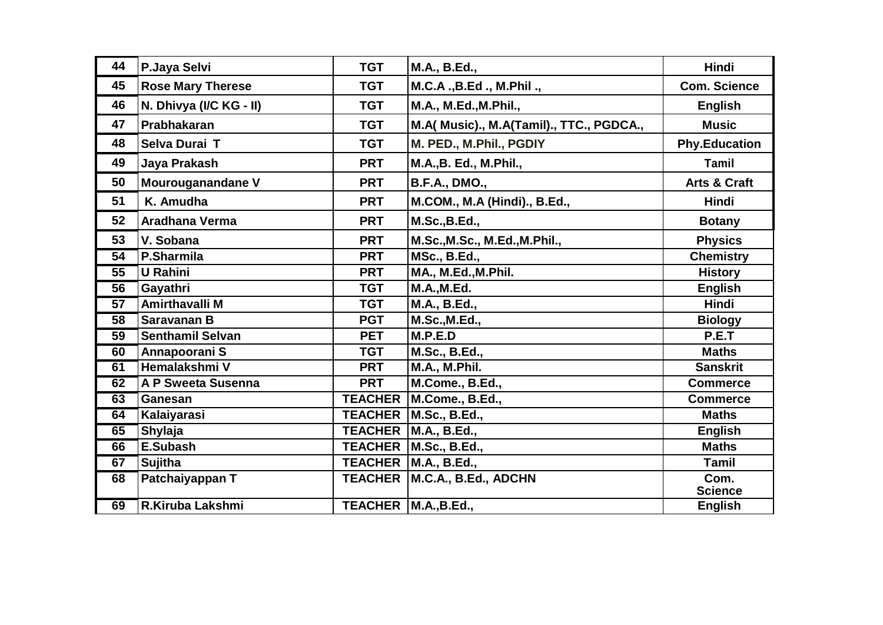| 44              | P.Jaya Selvi             | <b>TGT</b>     | M.A., B.Ed.,                             | Hindi                   |
|-----------------|--------------------------|----------------|------------------------------------------|-------------------------|
| 45              | <b>Rose Mary Therese</b> | <b>TGT</b>     | M.C.A., B.Ed., M.Phil.,                  | <b>Com. Science</b>     |
| 46              | N. Dhivya (I/C KG - II)  | <b>TGT</b>     | M.A., M.Ed., M.Phil.,                    | <b>English</b>          |
| 47              | Prabhakaran              | <b>TGT</b>     | M.A( Music)., M.A(Tamil)., TTC., PGDCA., | <b>Music</b>            |
| 48              | Selva Durai T            | <b>TGT</b>     | M. PED., M.Phil., PGDIY                  | <b>Phy.Education</b>    |
| 49              | Jaya Prakash             | <b>PRT</b>     | M.A., B. Ed., M.Phil.,                   | Tamil                   |
| 50              | Mourouganandane V        | <b>PRT</b>     | <b>B.F.A., DMO.,</b>                     | <b>Arts &amp; Craft</b> |
| 51              | K. Amudha                | <b>PRT</b>     | M.COM., M.A (Hindi)., B.Ed.,             | Hindi                   |
| 52              | <b>Aradhana Verma</b>    | <b>PRT</b>     | M.Sc., B.Ed.,                            | <b>Botany</b>           |
| 53              | V. Sobana                | <b>PRT</b>     | M.Sc., M.Sc., M.Ed., M.Phil.,            | <b>Physics</b>          |
| $\overline{54}$ | P.Sharmila               | <b>PRT</b>     | <b>MSc., B.Ed.,</b>                      | <b>Chemistry</b>        |
| $\overline{55}$ | <b>U</b> Rahini          | <b>PRT</b>     | MA., M.Ed., M.Phil.                      | <b>History</b>          |
| $\overline{56}$ | Gayathri                 | <b>TGT</b>     | <b>M.A., M.Ed.</b>                       | <b>English</b>          |
| 57              | <b>Amirthavalli M</b>    | <b>TGT</b>     | M.A., B.Ed.,                             | Hindi                   |
| $\overline{58}$ | <b>Saravanan B</b>       | <b>PGT</b>     | M.Sc., M.Ed.,                            | <b>Biology</b>          |
| $\overline{59}$ | <b>Senthamil Selvan</b>  | <b>PET</b>     | M.P.E.D                                  | P.E.T                   |
| 60              | Annapoorani S            | <b>TGT</b>     | M.Sc., B.Ed.,                            | <b>Maths</b>            |
| 61              | Hemalakshmi V            | <b>PRT</b>     | M.A., M.Phil.                            | <b>Sanskrit</b>         |
| 62              | A P Sweeta Susenna       | <b>PRT</b>     | M.Come., B.Ed.,                          | <b>Commerce</b>         |
| 63              | Ganesan                  | <b>TEACHER</b> | M.Come., B.Ed.,                          | <b>Commerce</b>         |
| 64              | Kalaiyarasi              | <b>TEACHER</b> | M.Sc., B.Ed.,                            | <b>Maths</b>            |
| 65              | Shylaja                  | <b>TEACHER</b> | M.A., B.Ed.,                             | <b>English</b>          |
| 66              | E.Subash                 | <b>TEACHER</b> | M.Sc., B.Ed.,                            | <b>Maths</b>            |
| 67              | <b>Sujitha</b>           | <b>TEACHER</b> | M.A., B.Ed.,                             | Tamil                   |
| 68              | Patchaiyappan T          | <b>TEACHER</b> | M.C.A., B.Ed., ADCHN                     | Com.<br><b>Science</b>  |
| 69              | R.Kiruba Lakshmi         |                | TEACHER   M.A., B.Ed.,                   | <b>English</b>          |